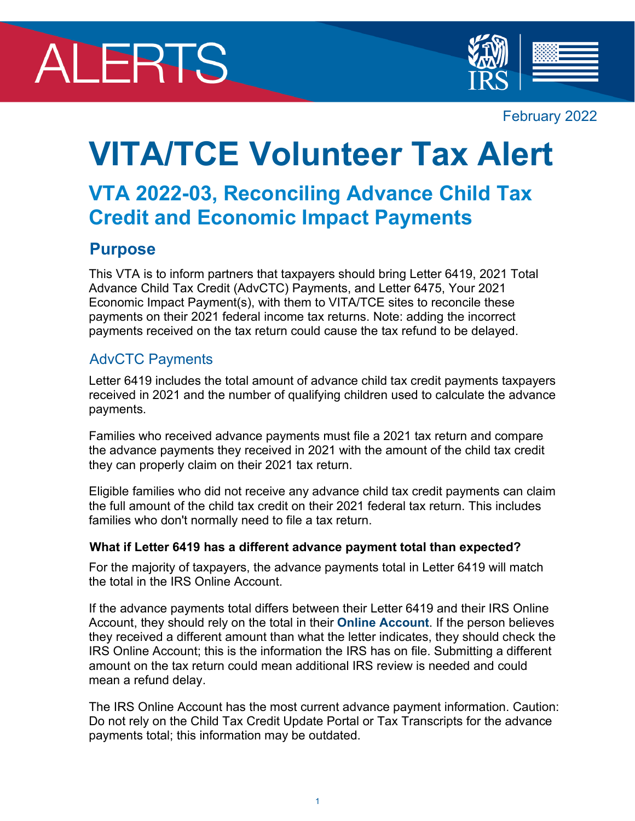



February 2022

# **VITA/TCE Volunteer Tax Alert**

# **VTA 2022-03, Reconciling Advance Child Tax Credit and Economic Impact Payments**

# **Purpose**

This VTA is to inform partners that taxpayers should bring Letter 6419, 2021 Total Advance Child Tax Credit (AdvCTC) Payments, and Letter 6475, Your 2021 Economic Impact Payment(s), with them to VITA/TCE sites to reconcile these payments on their 2021 federal income tax returns. Note: adding the incorrect payments received on the tax return could cause the tax refund to be delayed.

### AdvCTC Payments

Letter 6419 includes the total amount of advance child tax credit payments taxpayers received in 2021 and the number of qualifying children used to calculate the advance payments.

Families who received advance payments must file a 2021 tax return and compare the advance payments they received in 2021 with the amount of the child tax credit they can properly claim on their 2021 tax return.

Eligible families who did not receive any advance child tax credit payments can claim the full amount of the child tax credit on their 2021 federal tax return. This includes families who don't normally need to file a tax return.

#### **What if Letter 6419 has a different advance payment total than expected?**

For the majority of taxpayers, the advance payments total in Letter 6419 will match the total in the IRS Online Account.

If the advance payments total differs between their Letter 6419 and their IRS Online Account, they should rely on the total in their **[Online Account](https://www.irs.gov/payments/your-online-account)**. If the person believes they received a different amount than what the letter indicates, they should check the IRS Online Account; this is the information the IRS has on file. Submitting a different amount on the tax return could mean additional IRS review is needed and could mean a refund delay.

The IRS Online Account has the most current advance payment information. Caution: Do not rely on the Child Tax Credit Update Portal or Tax Transcripts for the advance payments total; this information may be outdated.